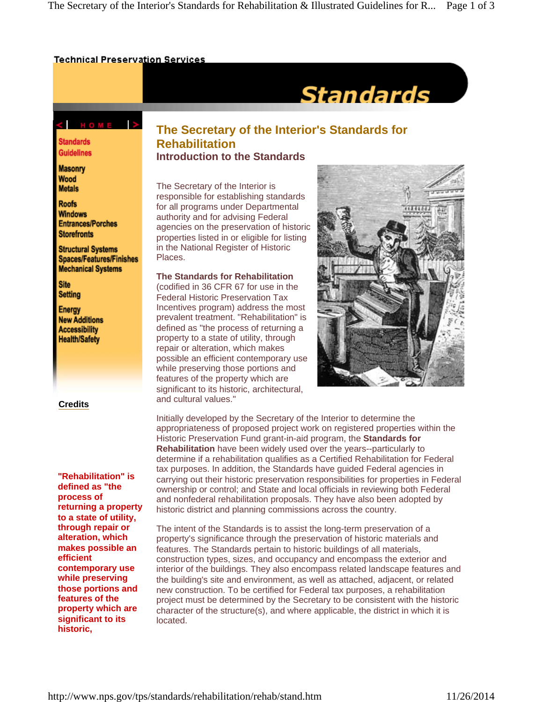#### **Technical Preservation Services**

# **Standards**

### C HOME >

**Standards Guidelines** 

**Masonry** Wood **Metals** 

**Roofs Windows Entrances/Porches Storefronts** 

**Structural Systems Spaces/Features/Finishes Mechanical Systems** 

**Site Setting** 

Energy **New Additions Accessibility Health/Safety** 

**Credits**

**"Rehabilitation" is defined as "the process of returning a property to a state of utility, through repair or alteration, which makes possible an efficient contemporary use while preserving those portions and features of the property which are significant to its historic,** 

## **The Secretary of the Interior's Standards for Rehabilitation Introduction to the Standards**

The Secretary of the Interior is responsible for establishing standards for all programs under Departmental authority and for advising Federal agencies on the preservation of historic properties listed in or eligible for listing in the National Register of Historic Places.

**The Standards for Rehabilitation** (codified in 36 CFR 67 for use in the Federal Historic Preservation Tax Incentives program) address the most prevalent treatment. "Rehabilitation" is defined as "the process of returning a property to a state of utility, through repair or alteration, which makes possible an efficient contemporary use while preserving those portions and features of the property which are significant to its historic, architectural, and cultural values."



Initially developed by the Secretary of the Interior to determine the appropriateness of proposed project work on registered properties within the Historic Preservation Fund grant-in-aid program, the **Standards for Rehabilitation** have been widely used over the years--particularly to determine if a rehabilitation qualifies as a Certified Rehabilitation for Federal tax purposes. In addition, the Standards have guided Federal agencies in carrying out their historic preservation responsibilities for properties in Federal ownership or control; and State and local officials in reviewing both Federal and nonfederal rehabilitation proposals. They have also been adopted by historic district and planning commissions across the country.

The intent of the Standards is to assist the long-term preservation of a property's significance through the preservation of historic materials and features. The Standards pertain to historic buildings of all materials, construction types, sizes, and occupancy and encompass the exterior and interior of the buildings. They also encompass related landscape features and the building's site and environment, as well as attached, adjacent, or related new construction. To be certified for Federal tax purposes, a rehabilitation project must be determined by the Secretary to be consistent with the historic character of the structure(s), and where applicable, the district in which it is located.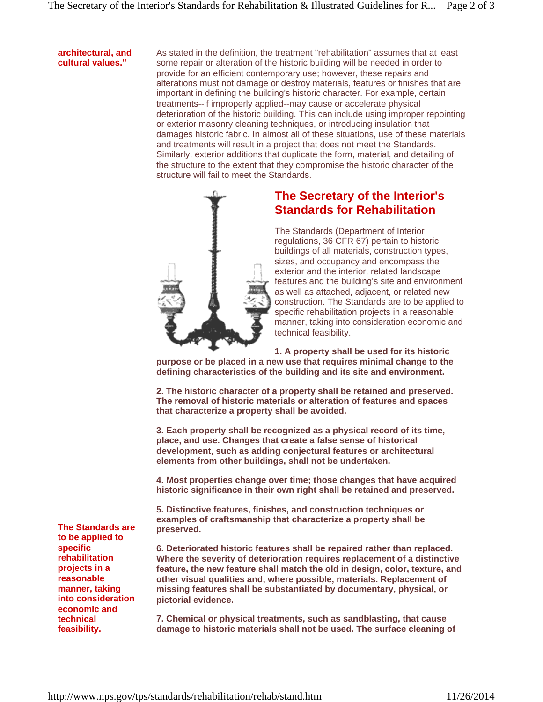#### **architectural, and cultural values."**

As stated in the definition, the treatment "rehabilitation" assumes that at least some repair or alteration of the historic building will be needed in order to provide for an efficient contemporary use; however, these repairs and alterations must not damage or destroy materials, features or finishes that are important in defining the building's historic character. For example, certain treatments--if improperly applied--may cause or accelerate physical deterioration of the historic building. This can include using improper repointing or exterior masonry cleaning techniques, or introducing insulation that damages historic fabric. In almost all of these situations, use of these materials and treatments will result in a project that does not meet the Standards. Similarly, exterior additions that duplicate the form, material, and detailing of the structure to the extent that they compromise the historic character of the structure will fail to meet the Standards.



## **The Secretary of the Interior's Standards for Rehabilitation**

The Standards (Department of Interior regulations, 36 CFR 67) pertain to historic buildings of all materials, construction types, sizes, and occupancy and encompass the exterior and the interior, related landscape features and the building's site and environment as well as attached, adjacent, or related new construction. The Standards are to be applied to specific rehabilitation projects in a reasonable manner, taking into consideration economic and technical feasibility.

**1. A property shall be used for its historic** 

**purpose or be placed in a new use that requires minimal change to the defining characteristics of the building and its site and environment.** 

**2. The historic character of a property shall be retained and preserved. The removal of historic materials or alteration of features and spaces that characterize a property shall be avoided.** 

**3. Each property shall be recognized as a physical record of its time, place, and use. Changes that create a false sense of historical development, such as adding conjectural features or architectural elements from other buildings, shall not be undertaken.** 

**4. Most properties change over time; those changes that have acquired historic significance in their own right shall be retained and preserved.** 

**5. Distinctive features, finishes, and construction techniques or examples of craftsmanship that characterize a property shall be preserved.** 

**6. Deteriorated historic features shall be repaired rather than replaced. Where the severity of deterioration requires replacement of a distinctive feature, the new feature shall match the old in design, color, texture, and other visual qualities and, where possible, materials. Replacement of missing features shall be substantiated by documentary, physical, or pictorial evidence.** 

**7. Chemical or physical treatments, such as sandblasting, that cause damage to historic materials shall not be used. The surface cleaning of** 

**The Standards are to be applied to specific rehabilitation projects in a reasonable manner, taking into consideration economic and technical feasibility.**